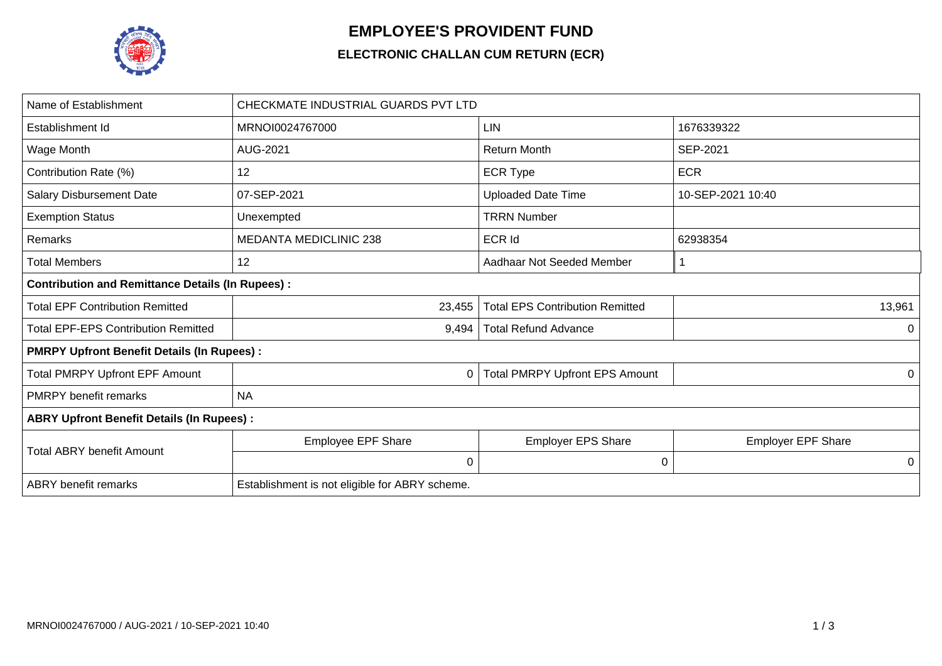

## **EMPLOYEE'S PROVIDENT FUND**

## **ELECTRONIC CHALLAN CUM RETURN (ECR)**

| Name of Establishment                                   | CHECKMATE INDUSTRIAL GUARDS PVT LTD            |                                        |                           |  |  |  |
|---------------------------------------------------------|------------------------------------------------|----------------------------------------|---------------------------|--|--|--|
| Establishment Id                                        | MRNOI0024767000                                | <b>LIN</b>                             | 1676339322                |  |  |  |
| Wage Month                                              | AUG-2021                                       | <b>Return Month</b>                    | <b>SEP-2021</b>           |  |  |  |
| Contribution Rate (%)                                   | 12                                             | <b>ECR Type</b>                        | <b>ECR</b>                |  |  |  |
| <b>Salary Disbursement Date</b>                         | 07-SEP-2021                                    | <b>Uploaded Date Time</b>              | 10-SEP-2021 10:40         |  |  |  |
| <b>Exemption Status</b>                                 | Unexempted                                     | <b>TRRN Number</b>                     |                           |  |  |  |
| Remarks                                                 | <b>MEDANTA MEDICLINIC 238</b>                  | <b>ECR Id</b>                          | 62938354                  |  |  |  |
| <b>Total Members</b>                                    | 12                                             | Aadhaar Not Seeded Member              |                           |  |  |  |
| <b>Contribution and Remittance Details (In Rupees):</b> |                                                |                                        |                           |  |  |  |
| <b>Total EPF Contribution Remitted</b>                  | 23,455                                         | <b>Total EPS Contribution Remitted</b> | 13,961                    |  |  |  |
| <b>Total EPF-EPS Contribution Remitted</b>              | 9,494                                          | <b>Total Refund Advance</b>            | 0                         |  |  |  |
| <b>PMRPY Upfront Benefit Details (In Rupees):</b>       |                                                |                                        |                           |  |  |  |
| <b>Total PMRPY Upfront EPF Amount</b>                   | $\mathbf 0$                                    | <b>Total PMRPY Upfront EPS Amount</b>  | 0                         |  |  |  |
| <b>PMRPY</b> benefit remarks                            | <b>NA</b>                                      |                                        |                           |  |  |  |
| <b>ABRY Upfront Benefit Details (In Rupees):</b>        |                                                |                                        |                           |  |  |  |
|                                                         | <b>Employee EPF Share</b>                      | <b>Employer EPS Share</b>              | <b>Employer EPF Share</b> |  |  |  |
| <b>Total ABRY benefit Amount</b>                        | 0                                              | 0                                      | 0                         |  |  |  |
| <b>ABRY</b> benefit remarks                             | Establishment is not eligible for ABRY scheme. |                                        |                           |  |  |  |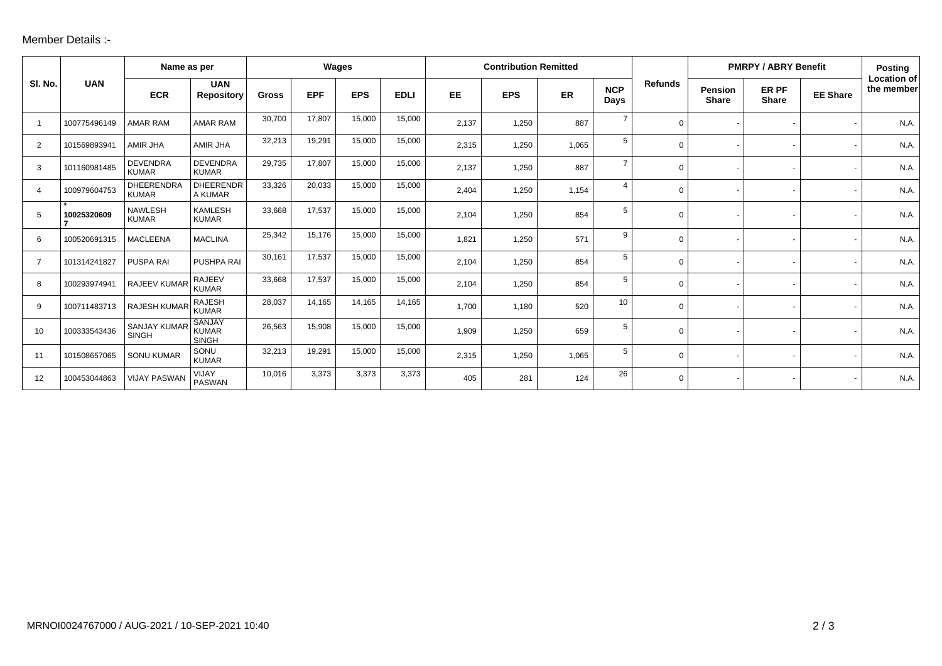## Member Details :-

|                |              | Name as per                         |                                               | Wages        |            |            | <b>Contribution Remitted</b> |           |            |       |                    | <b>PMRPY / ABRY Benefit</b> |                                |                       | <b>Posting</b>  |                                  |
|----------------|--------------|-------------------------------------|-----------------------------------------------|--------------|------------|------------|------------------------------|-----------|------------|-------|--------------------|-----------------------------|--------------------------------|-----------------------|-----------------|----------------------------------|
| SI. No.        | <b>UAN</b>   | <b>ECR</b>                          | <b>UAN</b><br><b>Repository</b>               | <b>Gross</b> | <b>EPF</b> | <b>EPS</b> | <b>EDLI</b>                  | <b>EE</b> | <b>EPS</b> | ER    | <b>NCP</b><br>Days | <b>Refunds</b>              | <b>Pension</b><br><b>Share</b> | ER PF<br><b>Share</b> | <b>EE Share</b> | <b>Location of</b><br>the member |
|                | 100775496149 | <b>AMAR RAM</b>                     | <b>AMAR RAM</b>                               | 30,700       | 17,807     | 15,000     | 15,000                       | 2,137     | 1,250      | 887   | $\overline{7}$     | $\Omega$                    |                                |                       |                 | N.A.                             |
| 2              | 101569893941 | AMIR JHA                            | AMIR JHA                                      | 32,213       | 19,291     | 15,000     | 15,000                       | 2,315     | 1,250      | 1,065 | $5\phantom{.0}$    | 0                           |                                |                       |                 | N.A.                             |
| 3              | 101160981485 | <b>DEVENDRA</b><br><b>KUMAR</b>     | <b>DEVENDRA</b><br><b>KUMAR</b>               | 29,735       | 17,807     | 15,000     | 15,000                       | 2,137     | 1,250      | 887   | $\overline{7}$     | $\Omega$                    |                                |                       |                 | N.A.                             |
| 4              | 100979604753 | <b>DHEERENDRA</b><br><b>KUMAR</b>   | <b>DHEERENDR</b><br>A KUMAR                   | 33,326       | 20,033     | 15,000     | 15,000                       | 2,404     | 1,250      | 1,154 | $\overline{4}$     | 0                           |                                |                       |                 | N.A.                             |
| 5              | 10025320609  | <b>NAWLESH</b><br><b>KUMAR</b>      | <b>KAMLESH</b><br><b>KUMAR</b>                | 33,668       | 17,537     | 15,000     | 15,000                       | 2,104     | 1,250      | 854   | 5                  | $\Omega$                    |                                |                       |                 | N.A.                             |
| 6              | 100520691315 | <b>MACLEENA</b>                     | <b>MACLINA</b>                                | 25,342       | 15,176     | 15,000     | 15,000                       | 1,821     | 1,250      | 571   | 9                  | $\Omega$                    |                                |                       |                 | N.A.                             |
| $\overline{7}$ | 101314241827 | PUSPA RAI                           | PUSHPA RAI                                    | 30,161       | 17,537     | 15,000     | 15,000                       | 2,104     | 1,250      | 854   | 5                  | 0                           |                                |                       |                 | N.A.                             |
| 8              | 100293974941 | RAJEEV KUMAR                        | <b>RAJEEV</b><br><b>KUMAR</b>                 | 33,668       | 17,537     | 15,000     | 15,000                       | 2,104     | 1,250      | 854   | 5                  | 0                           |                                |                       |                 | N.A.                             |
| 9              | 100711483713 | RAJESH KUMAR                        | <b>RAJESH</b><br><b>KUMAR</b>                 | 28,037       | 14,165     | 14,165     | 14,165                       | 1,700     | 1,180      | 520   | 10                 | $\Omega$                    |                                |                       |                 | N.A.                             |
| 10             | 100333543436 | <b>SANJAY KUMAR</b><br><b>SINGH</b> | <b>SANJAY</b><br><b>KUMAR</b><br><b>SINGH</b> | 26,563       | 15,908     | 15,000     | 15,000                       | 1,909     | 1,250      | 659   | 5                  | 0                           |                                |                       |                 | N.A.                             |
| 11             | 101508657065 | <b>SONU KUMAR</b>                   | SONU<br><b>KUMAR</b>                          | 32,213       | 19,291     | 15,000     | 15,000                       | 2,315     | 1,250      | 1,065 | 5                  | $\Omega$                    |                                |                       |                 | N.A.                             |
| 12             | 100453044863 | <b>VIJAY PASWAN</b>                 | VIJAY<br><b>PASWAN</b>                        | 10,016       | 3,373      | 3,373      | 3,373                        | 405       | 281        | 124   | 26                 | $\Omega$                    |                                |                       |                 | N.A.                             |